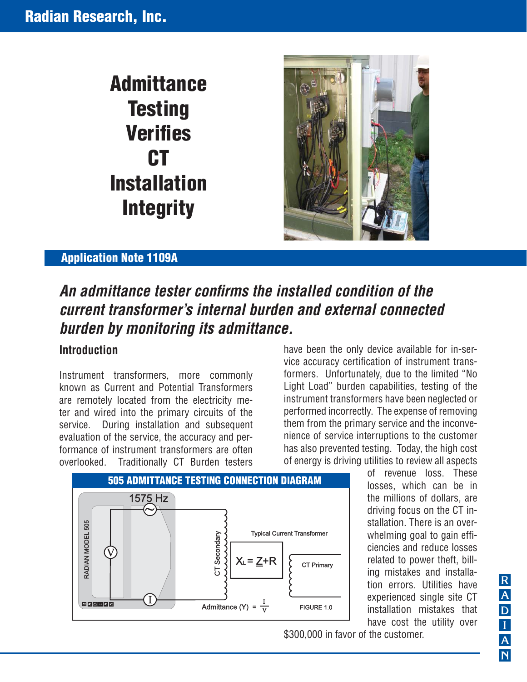# **Admittance Testing Verifies CT Installation Integrity**



## **Application Note 1109A**

# An admittance tester confirms the installed condition of the *current transformer's internal burden and external connected burden by monitoring its admittance.*

#### **Introduction**

Instrument transformers, more commonly known as Current and Potential Transformers are remotely located from the electricity meter and wired into the primary circuits of the service. During installation and subsequent evaluation of the service, the accuracy and performance of instrument transformers are often overlooked. Traditionally CT Burden testers

have been the only device available for in-service accuracy certification of instrument transformers. Unfortunately, due to the limited "No Light Load" burden capabilities, testing of the instrument transformers have been neglected or performed incorrectly. The expense of removing them from the primary service and the inconvenience of service interruptions to the customer has also prevented testing. Today, the high cost of energy is driving utilities to review all aspects



of revenue loss. These losses, which can be in the millions of dollars, are driving focus on the CT installation. There is an overwhelming goal to gain efficiencies and reduce losses related to power theft, billing mistakes and installation errors. Utilities have experienced single site CT installation mistakes that have cost the utility over

\$300,000 in favor of the customer.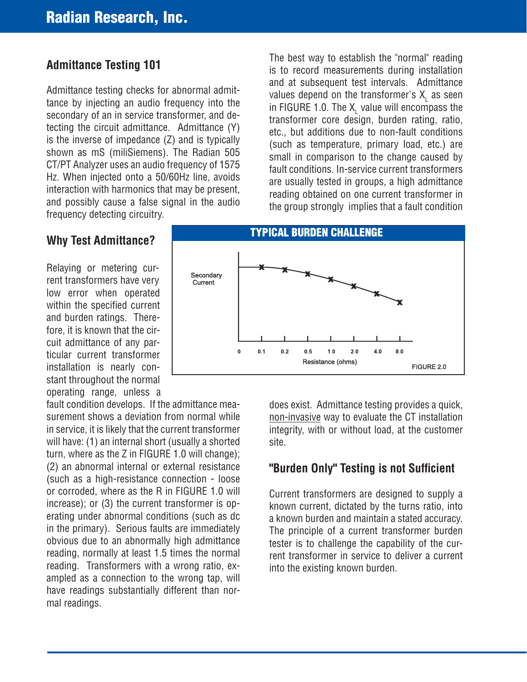# **Admittance Testing 101**

Admittance testing checks for abnormal admittance by injecting an audio frequency into the secondary of an in service transformer, and detecting the circuit admittance. Admittance (Y) is the inverse of impedance (Z) and is typically shown as mS (miliSiemens). The Radian 505 CT/PT Analyzer uses an audio frequency of 1575 Hz. When injected onto a 50/60Hz line, avoids interaction with harmonics that may be present, and possibly cause a false signal in the audio frequency detecting circuitry.

The best way to establish the "normal" reading is to record measurements during installation and at subsequent test intervals. Admittance values depend on the transformer's  $\mathsf{X}_\mathsf{L}$  as seen in FIGURE 1.0. The  $\mathsf{X}_\mathsf{L}$  value will encompass the transformer core design, burden rating, ratio, etc., but additions due to non-fault conditions (such as temperature, primary load, etc.) are small in comparison to the change caused by fault conditions. In-service current transformers are usually tested in groups, a high admittance reading obtained on one current transformer in the group strongly implies that a fault condition

## **Why Test Admittance?**

Relaying or metering current transformers have very low error when operated within the specified current and burden ratings. Therefore, it is known that the circuit admittance of any particular current transformer installation is nearly constant throughout the normal operating range, unless a



Secondary Current

turn, where as the Z in FIGURE 1.0 will change); (2) an abnormal internal or external resistance (such as a high-resistance connection - loose or corroded, where as the R in FIGURE 1.0 will increase); or (3) the current transformer is operating under abnormal conditions (such as dc in the primary). Serious faults are immediately obvious due to an abnormally high admittance reading, normally at least 1.5 times the normal reading. Transformers with a wrong ratio, exampled as a connection to the wrong tap, will have readings substantially different than normal readings.

**TYPICAL BURDEN CHALLENGE** 

x

 $4.0\,$ 

 $8.0$ 

FIGURE 2.0

does exist. Admittance testing provides a quick, non-invasive way to evaluate the CT installation integrity, with or without load, at the customer

 $2.0$ 

## "Burden Only" Testing is not Sufficient

Current transformers are designed to supply a known current, dictated by the turns ratio, into a known burden and maintain a stated accuracy. The principle of a current transformer burden tester is to challenge the capability of the current transformer in service to deliver a current into the existing known burden.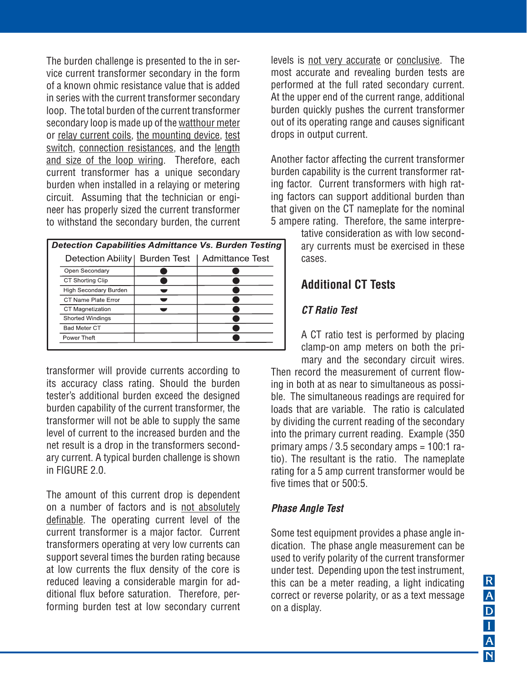The burden challenge is presented to the in service current transformer secondary in the form of a known ohmic resistance value that is added in series with the current transformer secondary loop. The total burden of the current transformer secondary loop is made up of the watthour meter or relay current coils, the mounting device, test switch, connection resistances, and the length and size of the loop wiring. Therefore, each current transformer has a unique secondary burden when installed in a relaying or metering circuit. Assuming that the technician or engineer has properly sized the current transformer to withstand the secondary burden, the current

| Detection Capabilities Admittance Vs. Burden Testing |                                 |  |                 |
|------------------------------------------------------|---------------------------------|--|-----------------|
|                                                      | Detection Ability   Burden Test |  | Admittance Test |
|                                                      | Open Secondary                  |  |                 |
|                                                      | CT Shorting Clip                |  |                 |
|                                                      | High Secondary Burden           |  |                 |
|                                                      | CT Name Plate Error             |  |                 |
|                                                      | <b>CT Magnetization</b>         |  |                 |
|                                                      | <b>Shorted Windings</b>         |  |                 |
|                                                      | <b>Bad Meter CT</b>             |  |                 |
|                                                      | Power Theft                     |  |                 |
|                                                      |                                 |  |                 |

transformer will provide currents according to its accuracy class rating. Should the burden tester's additional burden exceed the designed burden capability of the current transformer, the transformer will not be able to supply the same level of current to the increased burden and the net result is a drop in the transformers secondary current. A typical burden challenge is shown in FIGURE 2.0.

The amount of this current drop is dependent on a number of factors and is not absolutely definable. The operating current level of the current transformer is a major factor. Current transformers operating at very low currents can support several times the burden rating because at low currents the flux density of the core is reduced leaving a considerable margin for additional flux before saturation. Therefore, performing burden test at low secondary current levels is not very accurate or conclusive. The most accurate and revealing burden tests are performed at the full rated secondary current. At the upper end of the current range, additional burden quickly pushes the current transformer out of its operating range and causes significant drops in output current.

Another factor affecting the current transformer burden capability is the current transformer rating factor. Current transformers with high rating factors can support additional burden than that given on the CT nameplate for the nominal 5 ampere rating. Therefore, the same interpre-

tative consideration as with low secondary currents must be exercised in these cases.

## **Additional CT Tests**

#### *CT Ratio Test*

A CT ratio test is performed by placing clamp-on amp meters on both the primary and the secondary circuit wires.

Then record the measurement of current flowing in both at as near to simultaneous as possible. The simultaneous readings are required for loads that are variable. The ratio is calculated by dividing the current reading of the secondary into the primary current reading. Example (350 primary amps / 3.5 secondary amps = 100:1 ratio). The resultant is the ratio. The nameplate rating for a 5 amp current transformer would be five times that or 500:5.

#### *Phase Angle Test*

Some test equipment provides a phase angle indication. The phase angle measurement can be used to verify polarity of the current transformer under test. Depending upon the test instrument, this can be a meter reading, a light indicating correct or reverse polarity, or as a text message on a display.